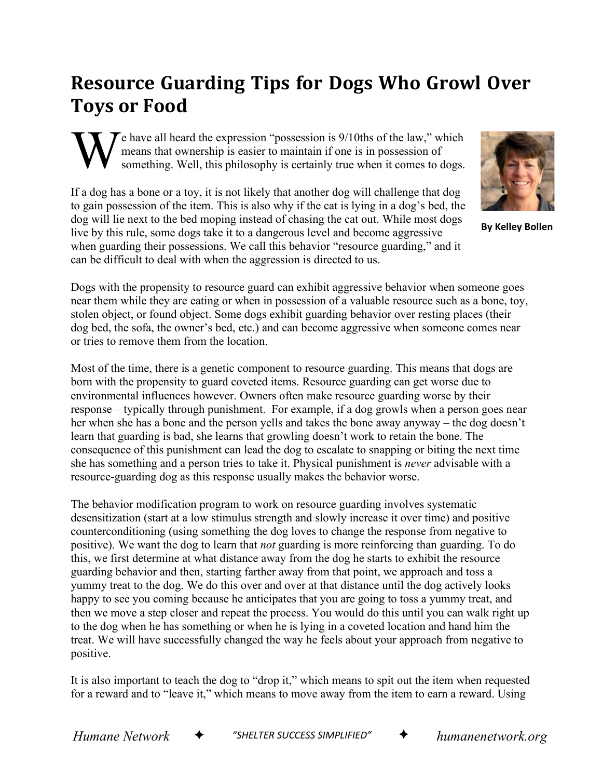## **Resource Guarding Tips for Dogs Who Growl Over Toys or Food**

 $\tau$  e have all heard the expression "possession is 9/10ths of the law," which means that ownership is easier to maintain if one is in possession of something. Well, this philosophy is certainly true when it comes to dogs. W

If a dog has a bone or a toy, it is not likely that another dog will challenge that dog to gain possession of the item. This is also why if the cat is lying in a dog's bed, the dog will lie next to the bed moping instead of chasing the cat out. While most dogs live by this rule, some dogs take it to a dangerous level and become aggressive when guarding their possessions. We call this behavior "resource guarding," and it can be difficult to deal with when the aggression is directed to us.



**By Kelley Bollen**

Dogs with the propensity to resource guard can exhibit aggressive behavior when someone goes near them while they are eating or when in possession of a valuable resource such as a bone, toy, stolen object, or found object. Some dogs exhibit guarding behavior over resting places (their dog bed, the sofa, the owner's bed, etc.) and can become aggressive when someone comes near or tries to remove them from the location.

Most of the time, there is a genetic component to resource guarding. This means that dogs are born with the propensity to guard coveted items. Resource guarding can get worse due to environmental influences however. Owners often make resource guarding worse by their response – typically through punishment. For example, if a dog growls when a person goes near her when she has a bone and the person yells and takes the bone away anyway – the dog doesn't learn that guarding is bad, she learns that growling doesn't work to retain the bone. The consequence of this punishment can lead the dog to escalate to snapping or biting the next time she has something and a person tries to take it. Physical punishment is *never* advisable with a resource-guarding dog as this response usually makes the behavior worse.

The behavior modification program to work on resource guarding involves systematic desensitization (start at a low stimulus strength and slowly increase it over time) and positive counterconditioning (using something the dog loves to change the response from negative to positive). We want the dog to learn that *not* guarding is more reinforcing than guarding. To do this, we first determine at what distance away from the dog he starts to exhibit the resource guarding behavior and then, starting farther away from that point, we approach and toss a yummy treat to the dog. We do this over and over at that distance until the dog actively looks happy to see you coming because he anticipates that you are going to toss a yummy treat, and then we move a step closer and repeat the process. You would do this until you can walk right up to the dog when he has something or when he is lying in a coveted location and hand him the treat. We will have successfully changed the way he feels about your approach from negative to positive.

It is also important to teach the dog to "drop it," which means to spit out the item when requested for a reward and to "leave it," which means to move away from the item to earn a reward. Using